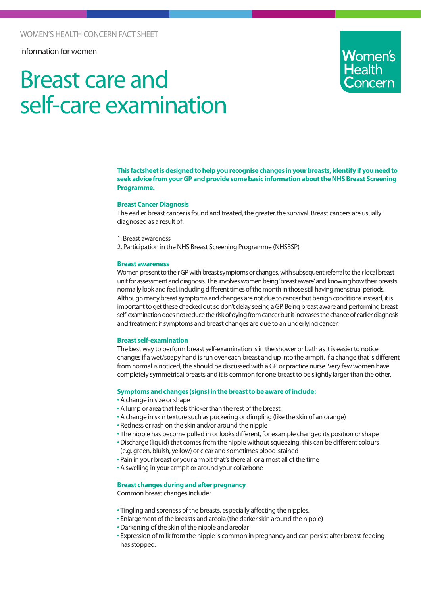Information for women

# Breast care and self-care examination

**Women's** 

**This factsheet is designed to help you recognise changes in your breasts, identify if you need to seek advice from your GP and provide some basic information about the NHS Breast Screening Programme.**

### **Breast Cancer Diagnosis**

The earlier breast cancer is found and treated, the greater the survival. Breast cancers are usually diagnosed as a result of:

- 1. Breast awareness
- 2. Participation in the NHS Breast Screening Programme (NHSBSP)

#### **Breast awareness**

Women present to their GP with breast symptoms or changes, with subsequent referral to their local breast unit for assessment and diagnosis. This involves women being 'breast aware' and knowing how their breasts normally look and feel, including different times of the month in those still having menstrual periods. Although many breast symptoms and changes are not due to cancer but benign conditions instead, it is important to get these checked out so don't delay seeing a GP. Being breast aware and performing breast self-examination does not reduce the risk of dying from cancer but it increases the chance of earlier diagnosis and treatment if symptoms and breast changes are due to an underlying cancer.

#### **Breast self-examination**

The best way to perform breast self-examination is in the shower or bath as it is easier to notice changes if a wet/soapy hand is run over each breast and up into the armpit. If a change that is different from normal is noticed, this should be discussed with a GP or practice nurse. Very few women have completely symmetrical breasts and it is common for one breast to be slightly larger than the other.

#### **Symptoms and changes (signs) in the breast to be aware of include:**

- A change in size or shape
- A lump or area that feels thicker than the rest of the breast
- A change in skin texture such as puckering or dimpling (like the skin of an orange)
- Redness or rash on the skin and/or around the nipple
- The nipple has become pulled in or looks different, for example changed its position or shape
- •Discharge (liquid) that comes from the nipple without squeezing, this can be different colours (e.g. green, bluish, yellow) or clear and sometimes blood-stained
- Pain in your breast or your armpit that's there all or almost all of the time
- A swelling in your armpit or around your collarbone

## **Breast changes during and after pregnancy**

Common breast changes include:

- Tingling and soreness of the breasts, especially affecting the nipples.
- Enlargement of the breasts and areola (the darker skin around the nipple)
- Darkening of the skin of the nipple and areolar
- Expression of milk from the nipple is common in pregnancy and can persist after breast-feeding has stopped.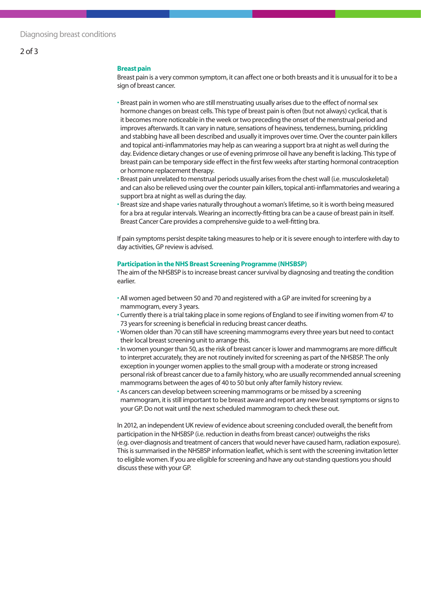#### **Breast pain**

Breast pain is a very common symptom, it can affect one or both breasts and it is unusual for it to be a sign of breast cancer.

- Breast pain in women who are still menstruating usually arises due to the effect of normal sex hormone changes on breast cells. This type of breast pain is often (but not always) cyclical, that is it becomes more noticeable in the week or two preceding the onset of the menstrual period and improves afterwards. It can vary in nature, sensations of heaviness, tenderness, burning, prickling and stabbing have all been described and usually it improves over time. Over the counter pain killers and topical anti-inflammatories may help as can wearing a support bra at night as well during the day. Evidence dietary changes or use of evening primrose oil have any benefit is lacking. This type of breast pain can be temporary side effect in the first few weeks after starting hormonal contraception or hormone replacement therapy.
- Breast pain unrelated to menstrual periods usually arises from the chest wall (i.e. musculoskeletal) and can also be relieved using over the counter pain killers, topical anti-inflammatories and wearing a support bra at night as well as during the day.
- Breast size and shape varies naturally throughout a woman's lifetime, so it is worth being measured for a bra at regular intervals. Wearing an incorrectly-fitting bra can be a cause of breast pain in itself. Breast Cancer Care provides a comprehensive guide to a well-fitting bra.

If pain symptoms persist despite taking measures to help or it is severe enough to interfere with day to day activities, GP review is advised.

#### **Participation in the NHS Breast Screening Programme (NHSBSP)**

The aim of the NHSBSP is to increase breast cancer survival by diagnosing and treating the condition earlier.

- All women aged between 50 and 70 and registered with a GP are invited for screening by a mammogram, every 3 years.
- Currently there is a trial taking place in some regions of England to see if inviting women from 47 to 73 years for screening is beneficial in reducing breast cancer deaths.
- Women older than 70 can still have screening mammograms every three years but need to contact their local breast screening unit to arrange this.
- In women younger than 50, as the risk of breast cancer is lower and mammograms are more difficult to interpret accurately, they are not routinely invited for screening as part of the NHSBSP. The only exception in younger women applies to the small group with a moderate or strong increased personal risk of breast cancer due to a family history, who are usually recommended annual screening mammograms between the ages of 40 to 50 but only after family history review.
- As cancers can develop between screening mammograms or be missed by a screening mammogram, it is still important to be breast aware and report any new breast symptoms or signs to your GP. Do not wait until the next scheduled mammogram to check these out.

In 2012, an independent UK review of evidence about screening concluded overall, the benefit from participation in the NHSBSP (i.e. reduction in deaths from breast cancer) outweighs the risks (e.g. over-diagnosis and treatment of cancers that would never have caused harm, radiation exposure). This is summarised in the NHSBSP information leaflet, which is sent with the screening invitation letter to eligible women. If you are eligible for screening and have any out-standing questions you should discuss these with your GP.